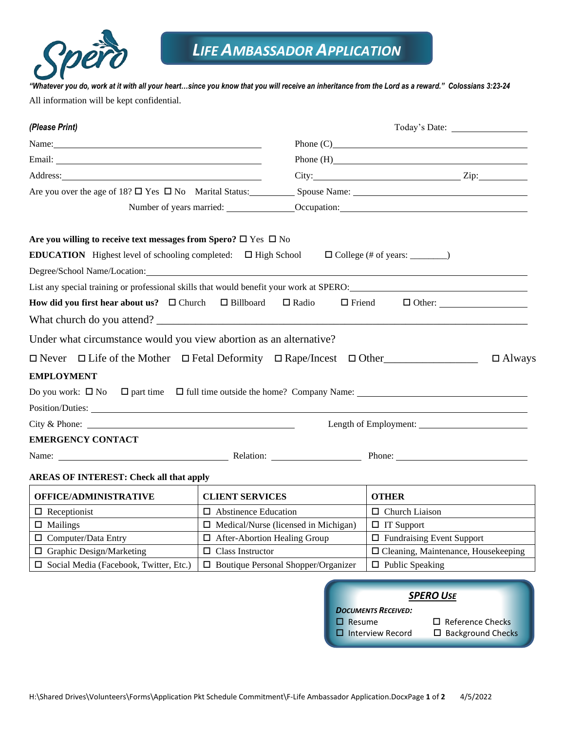

*"Whatever you do, work at it with all your heart…since you know that you will receive an inheritance from the Lord as a reward." Colossians 3:23-24* All information will be kept confidential.

| (Please Print)                                                                                                                                                                                                                                                                                                                                                                                                                                |                                                                     |                     |
|-----------------------------------------------------------------------------------------------------------------------------------------------------------------------------------------------------------------------------------------------------------------------------------------------------------------------------------------------------------------------------------------------------------------------------------------------|---------------------------------------------------------------------|---------------------|
| Name: Name and the same of the same of the same of the same of the same of the same of the same of the same of the same of the same of the same of the same of the same of the same of the same of the same of the same of the                                                                                                                                                                                                                |                                                                     | Phone $(C)$         |
|                                                                                                                                                                                                                                                                                                                                                                                                                                               |                                                                     | Phone (H) Phone (H) |
|                                                                                                                                                                                                                                                                                                                                                                                                                                               |                                                                     |                     |
| Are you over the age of 18? $\Box$ Yes $\Box$ No Marital Status: Spouse Name: Spouse Name:                                                                                                                                                                                                                                                                                                                                                    |                                                                     |                     |
| Number of years married: <u>Cocupation:</u> Cocupation:                                                                                                                                                                                                                                                                                                                                                                                       |                                                                     |                     |
| Are you willing to receive text messages from Spero? $\square$ Yes $\square$ No<br><b>EDUCATION</b> Highest level of schooling completed: $\Box$ High School<br>Degree/School Name/Location:<br>List any special training or professional skills that would benefit your work at SPERO:<br>How did you first hear about us? $\Box$ Church $\Box$ Billboard $\Box$ Radio<br>Under what circumstance would you view abortion as an alternative? | $\Box$ College (# of years: $\_\_\_\_\_\_\_\_\_\_$<br>$\Box$ Friend | $\Box$ Other:       |
| $\Box$ Never $\Box$ Life of the Mother $\Box$ Fetal Deformity $\Box$ Rape/Incest $\Box$ Other<br><b>EMPLOYMENT</b>                                                                                                                                                                                                                                                                                                                            |                                                                     | $\Box$ Always       |
| Do you work: $\Box$ No $\Box$ part time $\Box$ full time outside the home? Company Name: $\Box$                                                                                                                                                                                                                                                                                                                                               |                                                                     |                     |
| City & Phone:                                                                                                                                                                                                                                                                                                                                                                                                                                 |                                                                     |                     |
| <b>EMERGENCY CONTACT</b>                                                                                                                                                                                                                                                                                                                                                                                                                      |                                                                     |                     |
| Name: Name: Name: Name: Name: Name: Name: Name: Name: Name: Name: Name: Name: Name: Name: Name: Name: Name: Name: Name: Name: Name: Name: Name: Name: Name: Name: Name: Name: Name: Name: Name: Name: Name: Name: Name: Name:                                                                                                                                                                                                                 |                                                                     |                     |
| <b>AREAS OF INTEREST: Check all that apply</b>                                                                                                                                                                                                                                                                                                                                                                                                |                                                                     |                     |
|                                                                                                                                                                                                                                                                                                                                                                                                                                               |                                                                     |                     |

| <b>OFFICE/ADMINISTRATIVE</b>                  | <b>CLIENT SERVICES</b>                      | <b>OTHER</b>                               |
|-----------------------------------------------|---------------------------------------------|--------------------------------------------|
| $\Box$ Receptionist                           | $\Box$ Abstinence Education                 | $\Box$ Church Liaison                      |
| $\Box$ Mailings                               | $\Box$ Medical/Nurse (licensed in Michigan) | $\Box$ IT Support                          |
| $\Box$ Computer/Data Entry                    | $\Box$ After-Abortion Healing Group         | $\Box$ Fundraising Event Support           |
| $\Box$ Graphic Design/Marketing               | $\Box$ Class Instructor                     | $\Box$ Cleaning, Maintenance, Housekeeping |
| $\Box$ Social Media (Facebook, Twitter, Etc.) | $\Box$ Boutique Personal Shopper/Organizer  | $\Box$ Public Speaking                     |

| <b>SPERO USE</b>           |                          |  |
|----------------------------|--------------------------|--|
| <b>DOCUMENTS RECEIVED:</b> |                          |  |
| $\Box$ Resume              | $\Box$ Reference Checks  |  |
| $\Box$ Interview Record    | $\Box$ Background Checks |  |
|                            |                          |  |